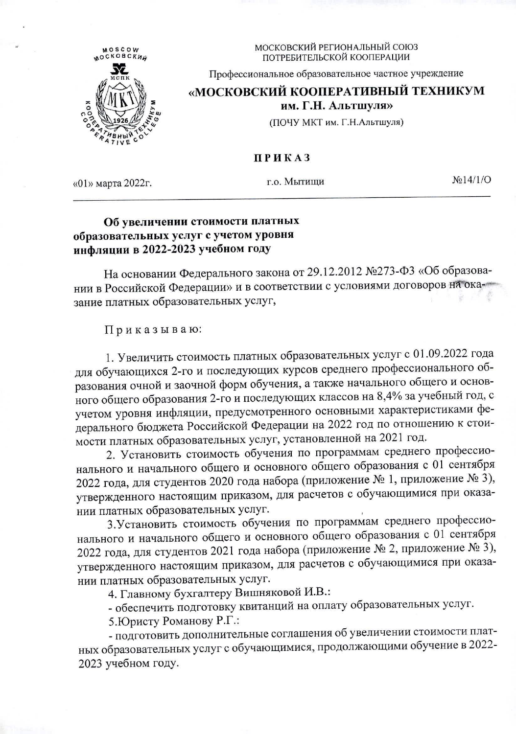

МОСКОВСКИЙ РЕГИОНАЛЬНЫЙ СОЮЗ ПОТРЕБИТЕЛЬСКОЙ КООПЕРАЦИИ

Профессиональное образовательное частное учреждение

## «МОСКОВСКИЙ КООПЕРАТИВНЫЙ ТЕХНИКУМ им. Г.Н. Альтшуля»

(ПОЧУ МКТ им. Г.Н.Альтшуля)

## **ПРИКАЗ**

«01» марта 2022г.

г.о. Мытищи

 $N<sub>2</sub>14/1/O$ 

## Об увеличении стоимости платных образовательных услуг с учетом уровня инфляции в 2022-2023 учебном году

На основании Федерального закона от 29.12.2012 №273-ФЗ «Об образовании в Российской Федерации» и в соответствии с условиями договоров на оказание платных образовательных услуг,

Приказываю:

1. Увеличить стоимость платных образовательных услуг с 01.09.2022 года для обучающихся 2-го и последующих курсов среднего профессионального образования очной и заочной форм обучения, а также начального общего и основного общего образования 2-го и последующих классов на 8,4% за учебный год, с учетом уровня инфляции, предусмотренного основными характеристиками федерального бюджета Российской Федерации на 2022 год по отношению к стоимости платных образовательных услуг, установленной на 2021 год.

2. Установить стоимость обучения по программам среднего профессионального и начального общего и основного общего образования с 01 сентября 2022 года, для студентов 2020 года набора (приложение № 1, приложение № 3), утвержденного настоящим приказом, для расчетов с обучающимися при оказании платных образовательных услуг.

3. Установить стоимость обучения по программам среднего профессионального и начального общего и основного общего образования с 01 сентября 2022 года, для студентов 2021 года набора (приложение № 2, приложение № 3), утвержденного настоящим приказом, для расчетов с обучающимися при оказании платных образовательных услуг.

4. Главному бухгалтеру Вишняковой И.В.:

- обеспечить подготовку квитанций на оплату образовательных услуг.

5. Юристу Романову Р.Г.:

- подготовить дополнительные соглашения об увеличении стоимости платных образовательных услуг с обучающимися, продолжающими обучение в 2022-2023 учебном году.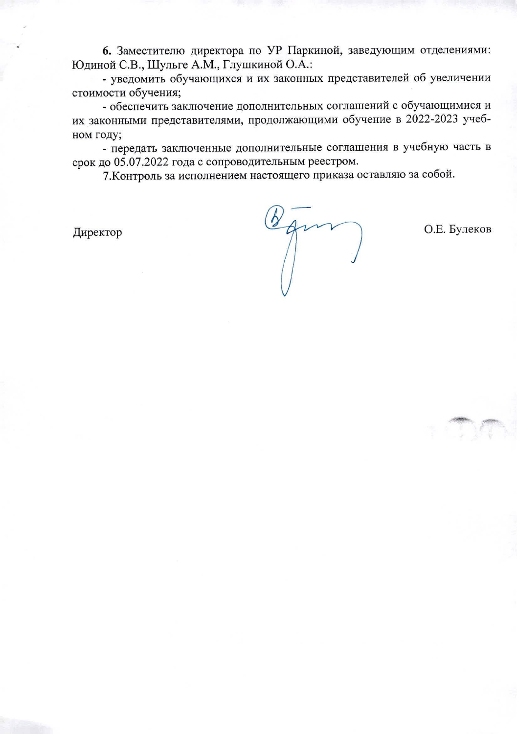6. Заместителю директора по УР Паркиной, заведующим отделениями: Юдиной С.В., Шульге А.М., Глушкиной О.А.:

- уведомить обучающихся и их законных представителей об увеличении стоимости обучения;

- обеспечить заключение дополнительных соглашений с обучающимися и их законными представителями, продолжающими обучение в 2022-2023 учебном году;

- передать заключенные дополнительные соглашения в учебную часть в срок до 05.07.2022 года с сопроводительным реестром.

7. Контроль за исполнением настоящего приказа оставляю за собой.

Директор

 $\int$ 

О.Е. Булеков